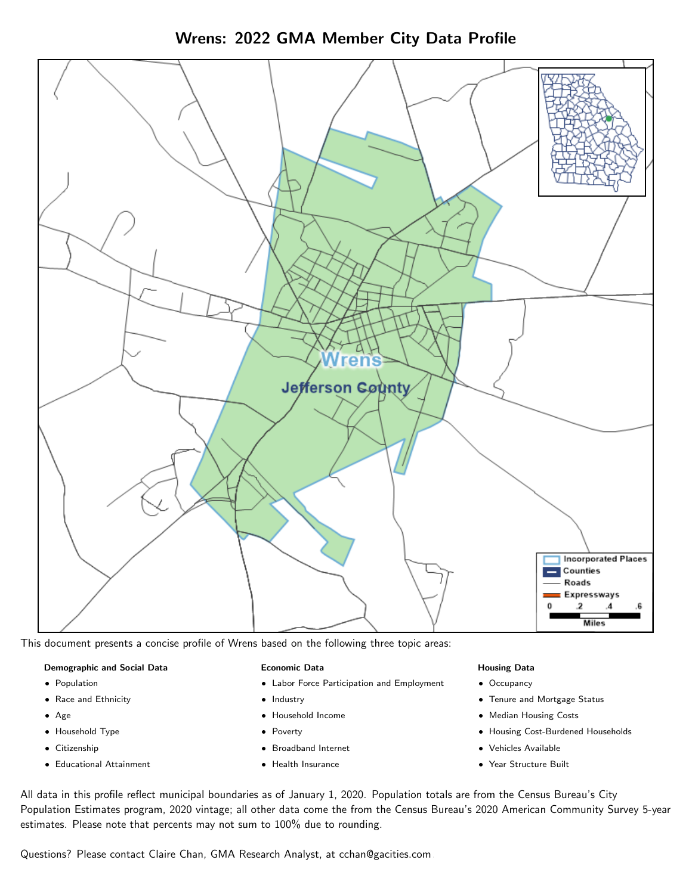Wrens: 2022 GMA Member City Data Profile



This document presents a concise profile of Wrens based on the following three topic areas:

### Demographic and Social Data

- **•** Population
- Race and Ethnicity
- Age
- Household Type
- **Citizenship**
- Educational Attainment

### Economic Data

- Labor Force Participation and Employment
- Industry
- Household Income
- Poverty
- Broadband Internet
- Health Insurance

### Housing Data

- Occupancy
- Tenure and Mortgage Status
- Median Housing Costs
- Housing Cost-Burdened Households
- Vehicles Available
- Year Structure Built

All data in this profile reflect municipal boundaries as of January 1, 2020. Population totals are from the Census Bureau's City Population Estimates program, 2020 vintage; all other data come the from the Census Bureau's 2020 American Community Survey 5-year estimates. Please note that percents may not sum to 100% due to rounding.

Questions? Please contact Claire Chan, GMA Research Analyst, at [cchan@gacities.com.](mailto:cchan@gacities.com)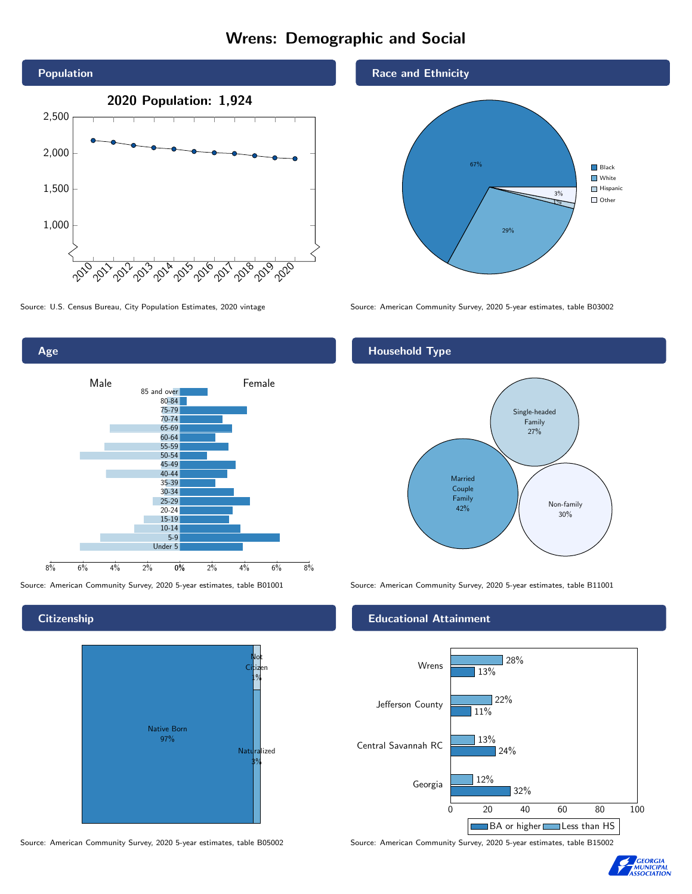# Wrens: Demographic and Social





## **Citizenship**







Source: U.S. Census Bureau, City Population Estimates, 2020 vintage Source: American Community Survey, 2020 5-year estimates, table B03002

## Household Type



Source: American Community Survey, 2020 5-year estimates, table B01001 Source: American Community Survey, 2020 5-year estimates, table B11001

## Educational Attainment



Source: American Community Survey, 2020 5-year estimates, table B05002 Source: American Community Survey, 2020 5-year estimates, table B15002

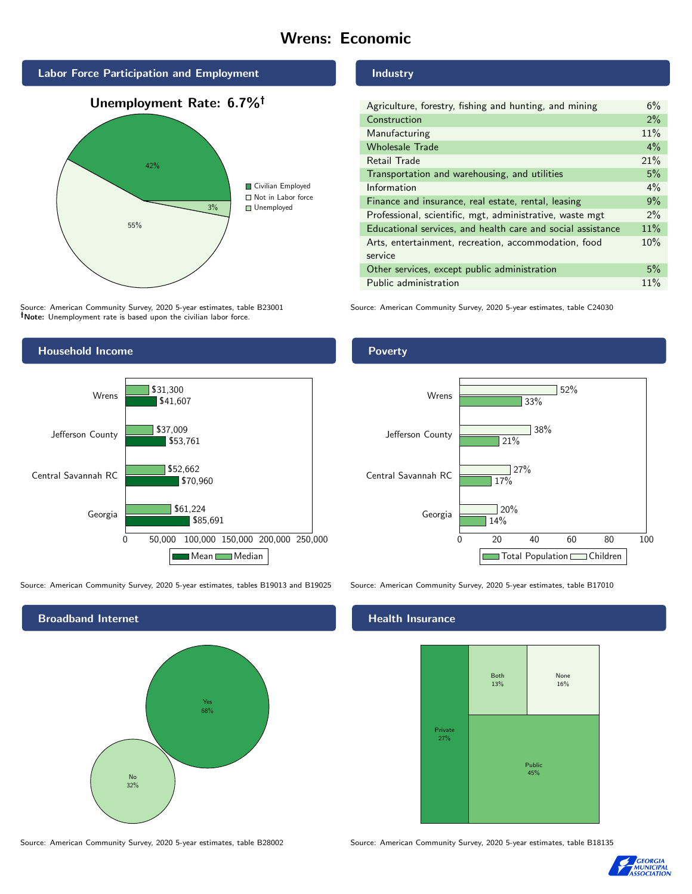# Wrens: Economic



Source: American Community Survey, 2020 5-year estimates, table B23001 Note: Unemployment rate is based upon the civilian labor force.

## Industry

| Agriculture, forestry, fishing and hunting, and mining      | 6%    |
|-------------------------------------------------------------|-------|
| Construction                                                | 2%    |
| Manufacturing                                               | 11%   |
| <b>Wholesale Trade</b>                                      | $4\%$ |
| Retail Trade                                                | 21%   |
| Transportation and warehousing, and utilities               | 5%    |
| Information                                                 | $4\%$ |
| Finance and insurance, real estate, rental, leasing         | 9%    |
| Professional, scientific, mgt, administrative, waste mgt    | $2\%$ |
| Educational services, and health care and social assistance | 11%   |
| Arts, entertainment, recreation, accommodation, food        | 10%   |
| service                                                     |       |
| Other services, except public administration                | 5%    |
| Public administration                                       | 11%   |

Source: American Community Survey, 2020 5-year estimates, table C24030



Source: American Community Survey, 2020 5-year estimates, tables B19013 and B19025 Source: American Community Survey, 2020 5-year estimates, table B17010



Source: American Community Survey, 2020 5-year estimates, table B28002 Source: American Community Survey, 2020 5-year estimates, table B18135

Poverty



## Health Insurance